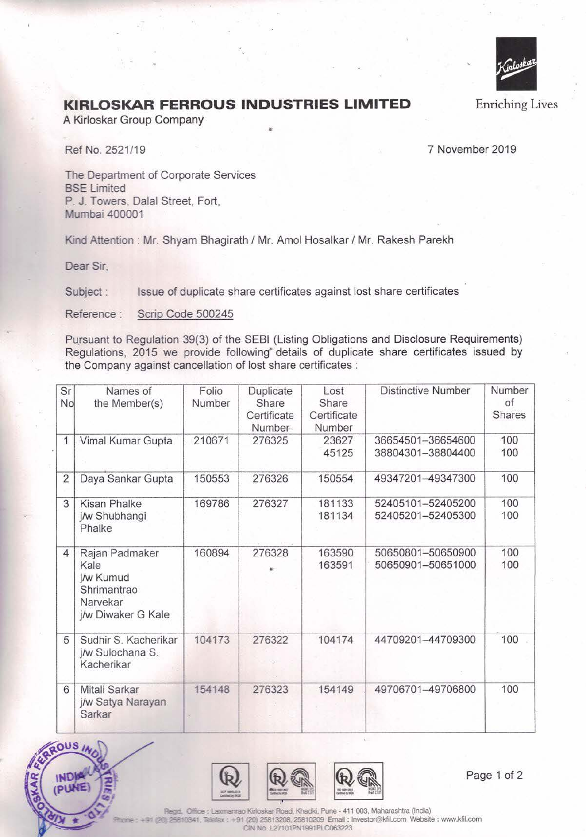

Enriching Lives

## **KIRLOSKAR FERROUS INDUSTRIES LIMITED**

**A** Kirloskar Group Company

Ref No. 2521/19 7 November 2019

The Department of Corporate Services **BSE** Limited P. J. Towers, Dalal Street, Fort, **Munbai** 400001

Kind Attention : Mr. Shyam Bhagirath / Mr. Amol Hosalkar / Mr. Rakesh Parekh

...

**Dear Sir,** 

Subject : Issue of duplicate share certificates against lost share certificates

Reference : Scrip Code 500245

Pursuant to Regulation 39(3) of the SEBI (Listing Obligations and Disclosure Requirements) Regulations, 2015 we provide following<sup>®</sup> details of duplicate share certificates issued by the Company against cancellation of lost share certificates :

| Sr<br>No       | Names of<br>the Member(s)                                                            | Folio<br>Number | Duplicate<br>Share<br>Certificate<br>Number | Lost<br>Share<br>Certificate<br>Number | <b>Distinctive Number</b>              | Number<br>of<br><b>Shares</b> |
|----------------|--------------------------------------------------------------------------------------|-----------------|---------------------------------------------|----------------------------------------|----------------------------------------|-------------------------------|
| $\mathbf{1}$   | Vimal Kumar Gupta                                                                    | 210671          | 276325                                      | 23627<br>45125                         | 36654501-36654600<br>38804301-38804400 | 100<br>100                    |
| $\overline{2}$ | Daya Sankar Gupta                                                                    | 150553          | 276326                                      | 150554                                 | 49347201-49347300                      | 100                           |
| 3              | <b>Kisan Phalke</b><br>j/w Shubhangi<br>Phalke                                       | 169786          | 276327                                      | 181133<br>181134                       | 52405101-52405200<br>52405201-52405300 | 100<br>100                    |
| 4              | Rajan Padmaker<br>Kale<br>j/w Kumud<br>Shrimantrao<br>Narvekar<br>j/w Diwaker G Kale | 160894          | 276328                                      | 163590<br>163591                       | 50650801-50650900<br>50650901-50651000 | 100<br>100                    |
| 5              | Sudhir S. Kacherikar<br>j/w Sulochana S.<br>Kacherikar                               | 104173          | 276322                                      | 104174                                 | 44709201-44709300                      | 100                           |
| 6              | Mitali Sarkar<br>j/w Satya Narayan<br>Sarkar                                         | 154148          | 276323                                      | 154149                                 | 49706701-49706800                      | 100                           |





Page 1 of 2

Regd. Office : Laxmanrao Kirioskar Road, Khadki, Pune - 411 003, Maharashtra (India) 0341, Telefax : +91 (20) 25813208, 25810209 Email : Investor@kfil.com Website : www.kfil.com CIN No. L27101PN1991PLC063223